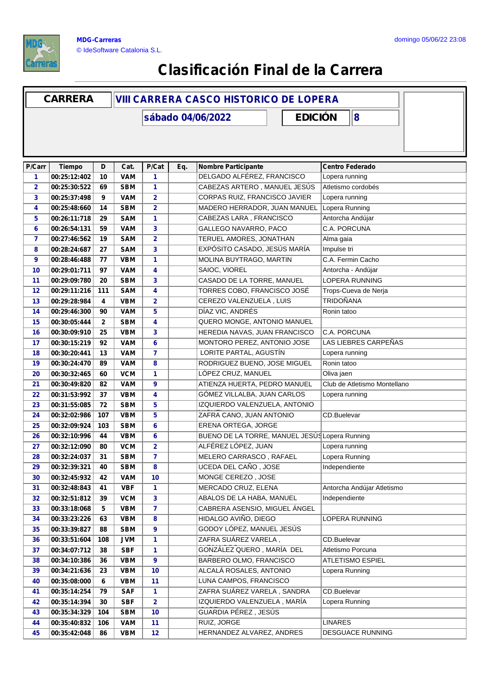

## **Clasificación Final de la Carrera**

|                | <b>CARRERA</b> | <b>VIII CARRERA CASCO HISTORICO DE LOPERA</b> |            |                                     |     |                                                |                              |  |  |  |
|----------------|----------------|-----------------------------------------------|------------|-------------------------------------|-----|------------------------------------------------|------------------------------|--|--|--|
|                |                |                                               |            | <b>EDICIÓN</b><br>sábado 04/06/2022 |     |                                                | $\bf{8}$                     |  |  |  |
|                |                |                                               |            |                                     |     |                                                |                              |  |  |  |
| P/Carr         | <b>Tiempo</b>  | D                                             | Cat.       | P/Cat                               | Eq. | <b>Nombre Participante</b>                     | <b>Centro Federado</b>       |  |  |  |
| 1              | 00:25:12:402   | 10                                            | <b>VAM</b> | 1                                   |     | DELGADO ALFÉREZ, FRANCISCO                     | Lopera running               |  |  |  |
| $\overline{2}$ | 00:25:30:522   | 69                                            | <b>SBM</b> | 1                                   |     | CABEZAS ARTERO, MANUEL JESÚS                   | Atletismo cordobés           |  |  |  |
| 3              | 00:25:37:498   | 9                                             | <b>VAM</b> | $\mathbf{2}$                        |     | CORPAS RUIZ, FRANCISCO JAVIER                  | Lopera running               |  |  |  |
| 4              | 00:25:48:660   | 14                                            | <b>SBM</b> | $\mathbf{2}$                        |     | MADERO HERRADOR, JUAN MANUEL                   | Lopera Running               |  |  |  |
| 5              | 00:26:11:718   | 29                                            | <b>SAM</b> | 1                                   |     | CABEZAS LARA, FRANCISCO                        | Antorcha Andújar             |  |  |  |
| 6              | 00:26:54:131   | 59                                            | <b>VAM</b> | 3                                   |     | GALLEGO NAVARRO, PACO                          | C.A. PORCUNA                 |  |  |  |
| 7              | 00:27:46:562   | 19                                            | <b>SAM</b> | $\overline{\mathbf{2}}$             |     | TERUEL AMORES, JONATHAN                        | Alma gaia                    |  |  |  |
| 8              | 00:28:24:687   | 27                                            | <b>SAM</b> | 3                                   |     | EXPÓSITO CASADO, JESÚS MARÍA                   | Impulse tri                  |  |  |  |
| 9              | 00:28:46:488   | 77                                            | <b>VBM</b> | 1                                   |     | MOLINA BUYTRAGO, MARTIN                        | C.A. Fermin Cacho            |  |  |  |
| 10             | 00:29:01:711   | 97                                            | <b>VAM</b> | 4                                   |     | SAIOC, VIOREL                                  | Antorcha - Andújar           |  |  |  |
| 11             | 00:29:09:780   | 20                                            | <b>SBM</b> | 3                                   |     | CASADO DE LA TORRE, MANUEL                     | <b>LOPERA RUNNING</b>        |  |  |  |
| 12             | 00:29:11:216   | 111                                           | <b>SAM</b> | 4                                   |     | TORRES COBO, FRANCISCO JOSÉ                    | Trops-Cueva de Nerja         |  |  |  |
| 13             | 00:29:28:984   | 4                                             | <b>VBM</b> | $\mathbf{2}$                        |     | CEREZO VALENZUELA, LUIS                        | <b>TRIDOÑANA</b>             |  |  |  |
| 14             | 00:29:46:300   | 90                                            | <b>VAM</b> | 5                                   |     | DÍAZ VIC, ANDRÉS                               | Ronin tatoo                  |  |  |  |
| 15             | 00:30:05:444   | $\mathbf{2}$                                  | <b>SBM</b> | 4                                   |     | QUERO MONGE, ANTONIO MANUEL                    |                              |  |  |  |
| 16             | 00:30:09:910   | 25                                            | <b>VBM</b> | 3                                   |     | HEREDIA NAVAS, JUAN FRANCISCO                  | C.A. PORCUNA                 |  |  |  |
| 17             | 00:30:15:219   | 92                                            | <b>VAM</b> | 6                                   |     | MONTORO PEREZ, ANTONIO JOSE                    | LAS LIEBRES CARPEÑAS         |  |  |  |
| 18             | 00:30:20:441   | 13                                            | <b>VAM</b> | $\overline{7}$                      |     | LORITE PARTAL, AGUSTÍN                         | Lopera running               |  |  |  |
| 19             | 00:30:24:470   | 89                                            | <b>VAM</b> | 8                                   |     | RODRIGUEZ BUENO, JOSE MIGUEL                   | Ronin tatoo                  |  |  |  |
| 20             | 00:30:32:465   | 60                                            | <b>VCM</b> | 1                                   |     | LÓPEZ CRUZ, MANUEL                             | Oliva jaen                   |  |  |  |
| 21             | 00:30:49:820   | 82                                            | <b>VAM</b> | 9                                   |     | ATIENZA HUERTA, PEDRO MANUEL                   | Club de Atletismo Montellano |  |  |  |
| 22             | 00:31:53:992   | 37                                            | <b>VBM</b> | 4                                   |     | GÓMEZ VILLALBA, JUAN CARLOS                    | Lopera running               |  |  |  |
| 23             | 00:31:55:085   | 72                                            | <b>SBM</b> | 5                                   |     | IZQUIERDO VALENZUELA, ANTONIO                  |                              |  |  |  |
| 24             | 00:32:02:986   | 107                                           | <b>VBM</b> | 5                                   |     | ZAFRA CANO, JUAN ANTONIO                       | CD.Buelevar                  |  |  |  |
| 25             | 00:32:09:924   | 103                                           | <b>SBM</b> | 6                                   |     | ERENA ORTEGA, JORGE                            |                              |  |  |  |
| 26             | 00:32:10:996   | 44                                            | <b>VBM</b> | 6                                   |     | BUENO DE LA TORRE, MANUEL JESÚS Lopera Running |                              |  |  |  |
| 27             | 00:32:12:090   | 80                                            | <b>VCM</b> | $\overline{2}$                      |     | ALFÉREZ LÓPEZ, JUAN                            | Lopera running               |  |  |  |
| 28             | 00:32:24:037   | 31                                            | <b>SBM</b> | $\overline{7}$                      |     | MELERO CARRASCO, RAFAEL                        | Lopera Running               |  |  |  |
| 29             | 00:32:39:321   | 40                                            | <b>SBM</b> | 8                                   |     | UCEDA DEL CAÑO, JOSE                           | Independiente                |  |  |  |
| 30             | 00:32:45:932   | 42                                            | <b>VAM</b> | 10                                  |     | MONGE CEREZO, JOSE                             |                              |  |  |  |
| 31             | 00:32:48:843   | 41                                            | <b>VBF</b> | 1                                   |     | MERCADO CRUZ, ELENA                            | Antorcha Andújar Atletismo   |  |  |  |
| 32             | 00:32:51:812   | 39                                            | <b>VCM</b> | 3                                   |     | ABALOS DE LA HABA, MANUEL                      | Independiente                |  |  |  |
| 33             | 00:33:18:068   | 5                                             | <b>VBM</b> | $\overline{7}$                      |     | CABRERA ASENSIO, MIGUEL ÁNGEL                  |                              |  |  |  |
| 34             | 00:33:23:226   | 63                                            | <b>VBM</b> | 8                                   |     | HIDALGO AVIÑO, DIEGO                           | LOPERA RUNNING               |  |  |  |
| 35             | 00:33:39:827   | 88                                            | <b>SBM</b> | 9                                   |     | GODOY LÓPEZ, MANUEL JESÚS                      |                              |  |  |  |
| 36             | 00:33:51:604   | 108                                           | <b>JVM</b> | 1                                   |     | ZAFRA SUÁREZ VARELA,                           | CD.Buelevar                  |  |  |  |
| 37             | 00:34:07:712   | 38                                            | <b>SBF</b> | 1                                   |     | GONZÁLEZ QUERO, MARÍA DEL                      | Atletismo Porcuna            |  |  |  |
| 38             | 00:34:10:386   | 36                                            | <b>VBM</b> | $\overline{9}$                      |     | BARBERO OLMO, FRANCISCO                        | ATLETISMO ESPIEL             |  |  |  |
| 39             | 00:34:21:636   | 23                                            | <b>VBM</b> | 10                                  |     | ALCALÁ ROSALES, ANTONIO                        | Lopera Running               |  |  |  |
| 40             | 00:35:08:000   | 6                                             | <b>VBM</b> | 11                                  |     | LUNA CAMPOS, FRANCISCO                         |                              |  |  |  |
| 41             | 00:35:14:254   | 79                                            | <b>SAF</b> | 1                                   |     | ZAFRA SUÁREZ VARELA, SANDRA                    | CD.Buelevar                  |  |  |  |
| 42             | 00:35:14:394   | 30                                            | <b>SBF</b> | $\overline{\mathbf{2}}$             |     | IZQUIERDO VALENZUELA, MARÍA                    | Lopera Running               |  |  |  |
| 43             | 00:35:34:329   | 104                                           | <b>SBM</b> | 10                                  |     | GUARDIA PÉREZ, JESÚS                           |                              |  |  |  |
| 44             | 00:35:40:832   | 106                                           | <b>VAM</b> | 11                                  |     | RUIZ, JORGE                                    | <b>LINARES</b>               |  |  |  |
| 45             | 00:35:42:048   | 86                                            | <b>VBM</b> | 12                                  |     | HERNANDEZ ALVAREZ, ANDRES                      | DESGUACE RUNNING             |  |  |  |